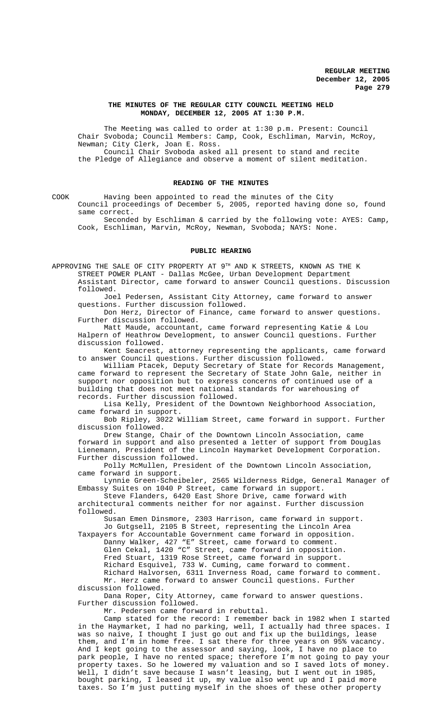# **THE MINUTES OF THE REGULAR CITY COUNCIL MEETING HELD MONDAY, DECEMBER 12, 2005 AT 1:30 P.M.**

The Meeting was called to order at 1:30 p.m. Present: Council Chair Svoboda; Council Members: Camp, Cook, Eschliman, Marvin, McRoy, Newman; City Clerk, Joan E. Ross. Council Chair Svoboda asked all present to stand and recite

the Pledge of Allegiance and observe a moment of silent meditation.

## **READING OF THE MINUTES**

COOK Having been appointed to read the minutes of the City Council proceedings of December 5, 2005, reported having done so, found same correct.

Seconded by Eschliman & carried by the following vote: AYES: Camp, Cook, Eschliman, Marvin, McRoy, Newman, Svoboda; NAYS: None.

# **PUBLIC HEARING**

APPROVING THE SALE OF CITY PROPERTY AT 9TH AND K STREETS, KNOWN AS THE K STREET POWER PLANT - Dallas McGee, Urban Development Department Assistant Director, came forward to answer Council questions. Discussion followed.

Joel Pedersen, Assistant City Attorney, came forward to answer questions. Further discussion followed.

Don Herz, Director of Finance, came forward to answer questions. Further discussion followed.

Matt Maude, accountant, came forward representing Katie & Lou Halpern of Heathrow Development, to answer Council questions. Further discussion followed.

Kent Seacrest, attorney representing the applicants, came forward to answer Council questions. Further discussion followed.

William Ptacek, Deputy Secretary of State for Records Management, came forward to represent the Secretary of State John Gale, neither in support nor opposition but to express concerns of continued use of a building that does not meet national standards for warehousing of records. Further discussion followed.

Lisa Kelly, President of the Downtown Neighborhood Association, came forward in support.

Bob Ripley, 3022 William Street, came forward in support. Further discussion followed.

Drew Stange, Chair of the Downtown Lincoln Association, came forward in support and also presented a letter of support from Douglas Lienemann, President of the Lincoln Haymarket Development Corporation. Further discussion followed.

Polly McMullen, President of the Downtown Lincoln Association, came forward in support.

Lynnie Green-Scheibeler, 2565 Wilderness Ridge, General Manager of Embassy Suites on 1040 P Street, came forward in support.

Steve Flanders, 6420 East Shore Drive, came forward with architectural comments neither for nor against. Further discussion followed.

Susan Emen Dinsmore, 2303 Harrison, came forward in support. Jo Gutgsell, 2105 B Street, representing the Lincoln Area

Taxpayers for Accountable Government came forward in opposition. Danny Walker, 427 "E" Street, came forward to comment. Glen Cekal, 1420 "C" Street, came forward in opposition.

Fred Stuart, 1319 Rose Street, came forward in support.

Richard Esquivel, 733 W. Cuming, came forward to comment.

Richard Halvorsen, 6311 Inverness Road, came forward to comment.

Mr. Herz came forward to answer Council questions. Further discussion followed.

Dana Roper, City Attorney, came forward to answer questions. Further discussion followed.

Mr. Pedersen came forward in rebuttal.

Camp stated for the record: I remember back in 1982 when I started in the Haymarket, I had no parking, well, I actually had three spaces. I was so naive, I thought I just go out and fix up the buildings, lease them, and I'm in home free. I sat there for three years on 95% vacancy. And I kept going to the assessor and saying, look, I have no place to park people, I have no rented space; therefore I'm not going to pay your property taxes. So he lowered my valuation and so I saved lots of money. Well, I didn't save because I wasn't leasing, but I went out in 1985, bought parking, I leased it up, my value also went up and I paid more taxes. So I'm just putting myself in the shoes of these other property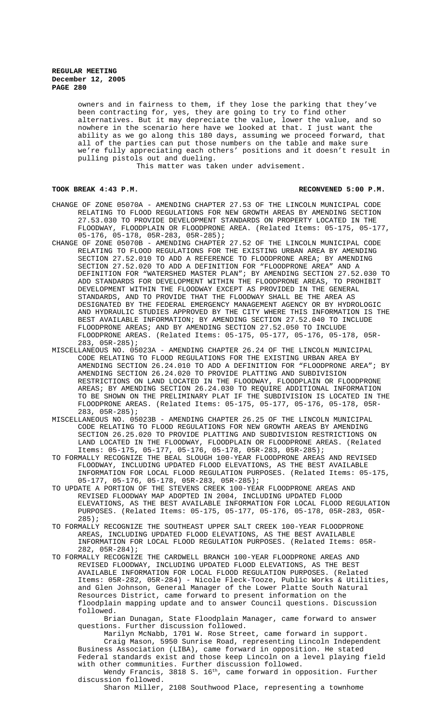owners and in fairness to them, if they lose the parking that they've been contracting for, yes, they are going to try to find other alternatives. But it may depreciate the value, lower the value, and so nowhere in the scenario here have we looked at that. I just want the ability as we go along this 180 days, assuming we proceed forward, that all of the parties can put those numbers on the table and make sure we're fully appreciating each others' positions and it doesn't result in pulling pistols out and dueling.

This matter was taken under advisement.

## **TOOK BREAK 4:43 P.M. RECONVENED 5:00 P.M.**

- CHANGE OF ZONE 05070A AMENDING CHAPTER 27.53 OF THE LINCOLN MUNICIPAL CODE RELATING TO FLOOD REGULATIONS FOR NEW GROWTH AREAS BY AMENDING SECTION 27.53.030 TO PROVIDE DEVELOPMENT STANDARDS ON PROPERTY LOCATED IN THE FLOODWAY, FLOODPLAIN OR FLOODPRONE AREA. (Related Items: 05-175, 05-177, 05-176, 05-178, 05R-283, 05R-285);
- CHANGE OF ZONE 05070B AMENDING CHAPTER 27.52 OF THE LINCOLN MUNICIPAL CODE RELATING TO FLOOD REGULATIONS FOR THE EXISTING URBAN AREA BY AMENDING SECTION 27.52.010 TO ADD A REFERENCE TO FLOODPRONE AREA; BY AMENDING SECTION 27.52.020 TO ADD A DEFINITION FOR "FLOODPRONE AREA" AND A DEFINITION FOR "WATERSHED MASTER PLAN"; BY AMENDING SECTION 27.52.030 TO ADD STANDARDS FOR DEVELOPMENT WITHIN THE FLOODPRONE AREAS, TO PROHIBIT DEVELOPMENT WITHIN THE FLOODWAY EXCEPT AS PROVIDED IN THE GENERAL STANDARDS, AND TO PROVIDE THAT THE FLOODWAY SHALL BE THE AREA AS DESIGNATED BY THE FEDERAL EMERGENCY MANAGEMENT AGENCY OR BY HYDROLOGIC AND HYDRAULIC STUDIES APPROVED BY THE CITY WHERE THIS INFORMATION IS THE BEST AVAILABLE INFORMATION; BY AMENDING SECTION 27.52.040 TO INCLUDE FLOODPRONE AREAS; AND BY AMENDING SECTION 27.52.050 TO INCLUDE FLOODPRONE AREAS. (Related Items: 05-175, 05-177, 05-176, 05-178, 05R-283, 05R-285);
- MISCELLANEOUS NO. 05023A AMENDING CHAPTER 26.24 OF THE LINCOLN MUNICIPAL CODE RELATING TO FLOOD REGULATIONS FOR THE EXISTING URBAN AREA BY AMENDING SECTION 26.24.010 TO ADD A DEFINITION FOR "FLOODPRONE AREA"; BY AMENDING SECTION 26.24.020 TO PROVIDE PLATTING AND SUBDIVISION RESTRICTIONS ON LAND LOCATED IN THE FLOODWAY, FLOODPLAIN OR FLOODPRONE AREAS; BY AMENDING SECTION 26.24.030 TO REQUIRE ADDITIONAL INFORMATION TO BE SHOWN ON THE PRELIMINARY PLAT IF THE SUBDIVISION IS LOCATED IN THE FLOODPRONE AREAS. (Related Items: 05-175, 05-177, 05-176, 05-178, 05R-283, 05R-285);
- MISCELLANEOUS NO. 05023B AMENDING CHAPTER 26.25 OF THE LINCOLN MUNICIPAL CODE RELATING TO FLOOD REGULATIONS FOR NEW GROWTH AREAS BY AMENDING SECTION 26.25.020 TO PROVIDE PLATTING AND SUBDIVISION RESTRICTIONS ON LAND LOCATED IN THE FLOODWAY, FLOODPLAIN OR FLOODPRONE AREAS. (Related Items: 05-175, 05-177, 05-176, 05-178, 05R-283, 05R-285);
- TO FORMALLY RECOGNIZE THE BEAL SLOUGH 100-YEAR FLOODPRONE AREAS AND REVISED FLOODWAY, INCLUDING UPDATED FLOOD ELEVATIONS, AS THE BEST AVAILABLE INFORMATION FOR LOCAL FLOOD REGULATION PURPOSES. (Related Items: 05-175, 05-177, 05-176, 05-178, 05R-283, 05R-285);
- TO UPDATE A PORTION OF THE STEVENS CREEK 100-YEAR FLOODPRONE AREAS AND REVISED FLOODWAY MAP ADOPTED IN 2004, INCLUDING UPDATED FLOOD ELEVATIONS, AS THE BEST AVAILABLE INFORMATION FOR LOCAL FLOOD REGULATION PURPOSES. (Related Items: 05-175, 05-177, 05-176, 05-178, 05R-283, 05R-285);
- TO FORMALLY RECOGNIZE THE SOUTHEAST UPPER SALT CREEK 100-YEAR FLOODPRONE AREAS, INCLUDING UPDATED FLOOD ELEVATIONS, AS THE BEST AVAILABLE INFORMATION FOR LOCAL FLOOD REGULATION PURPOSES. (Related Items: 05R-282, 05R-284);
- TO FORMALLY RECOGNIZE THE CARDWELL BRANCH 100-YEAR FLOODPRONE AREAS AND REVISED FLOODWAY, INCLUDING UPDATED FLOOD ELEVATIONS, AS THE BEST AVAILABLE INFORMATION FOR LOCAL FLOOD REGULATION PURPOSES. (Related Items: 05R-282, 05R-284) - Nicole Fleck-Tooze, Public Works & Utilities, and Glen Johnson, General Manager of the Lower Platte South Natural Resources District, came forward to present information on the floodplain mapping update and to answer Council questions. Discussion followed.

Brian Dunagan, State Floodplain Manager, came forward to answer questions. Further discussion followed.

Marilyn McNabb, 1701 W. Rose Street, came forward in support. Craig Mason, 5950 Sunrise Road, representing Lincoln Independent Business Association (LIBA), came forward in opposition. He stated Federal standards exist and those keep Lincoln on a level playing field with other communities. Further discussion followed.

Wendy Francis, 3818 S.  $16^{\rm th}$ , came forward in opposition. Further discussion followed.

Sharon Miller, 2108 Southwood Place, representing a townhome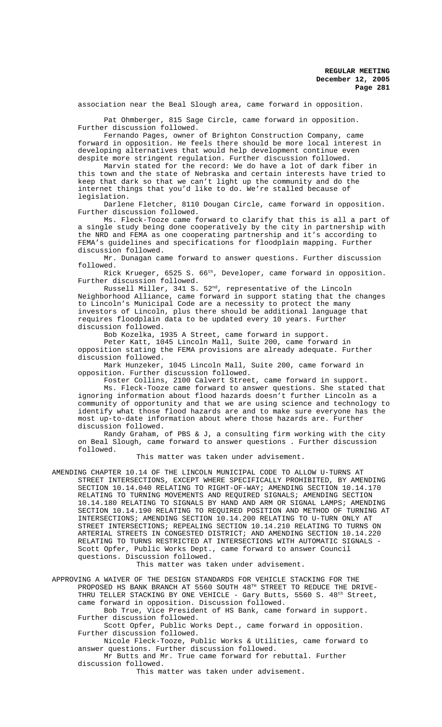association near the Beal Slough area, came forward in opposition.

Pat Ohmberger, 815 Sage Circle, came forward in opposition. Further discussion followed.

Fernando Pages, owner of Brighton Construction Company, came forward in opposition. He feels there should be more local interest in developing alternatives that would help development continue even despite more stringent regulation. Further discussion followed.

Marvin stated for the record: We do have a lot of dark fiber in this town and the state of Nebraska and certain interests have tried to keep that dark so that we can't light up the community and do the internet things that you'd like to do. We're stalled because of legislation.

Darlene Fletcher, 8110 Dougan Circle, came forward in opposition. Further discussion followed.

Ms. Fleck-Tooze came forward to clarify that this is all a part of a single study being done cooperatively by the city in partnership with the NRD and FEMA as one cooperating partnership and it's according to FEMA's guidelines and specifications for floodplain mapping. Further discussion followed.

Mr. Dunagan came forward to answer questions. Further discussion followed.

Rick Krueger, 6525 S. 66th, Developer, came forward in opposition. Further discussion followed.

Russell Miller, 341 S. 52<sup>nd</sup>, representative of the Lincoln Neighborhood Alliance, came forward in support stating that the changes to Lincoln's Municipal Code are a necessity to protect the many investors of Lincoln, plus there should be additional language that requires floodplain data to be updated every 10 years. Further discussion followed.

Bob Kozelka, 1935 A Street, came forward in support.

Peter Katt, 1045 Lincoln Mall, Suite 200, came forward in opposition stating the FEMA provisions are already adequate. Further discussion followed.

Mark Hunzeker, 1045 Lincoln Mall, Suite 200, came forward in opposition. Further discussion followed.

Foster Collins, 2100 Calvert Street, came forward in support. Ms. Fleck-Tooze came forward to answer questions. She stated that ignoring information about flood hazards doesn't further Lincoln as a community of opportunity and that we are using science and technology to identify what those flood hazards are and to make sure everyone has the most up-to-date information about where those hazards are. Further discussion followed.

Randy Graham, of PBS & J, a consulting firm working with the city on Beal Slough, came forward to answer questions . Further discussion followed.

This matter was taken under advisement.

AMENDING CHAPTER 10.14 OF THE LINCOLN MUNICIPAL CODE TO ALLOW U-TURNS AT STREET INTERSECTIONS, EXCEPT WHERE SPECIFICALLY PROHIBITED, BY AMENDING SECTION 10.14.040 RELATING TO RIGHT-OF-WAY; AMENDING SECTION 10.14.170 RELATING TO TURNING MOVEMENTS AND REQUIRED SIGNALS; AMENDING SECTION 10.14.180 RELATING TO SIGNALS BY HAND AND ARM OR SIGNAL LAMPS; AMENDING SECTION 10.14.190 RELATING TO REQUIRED POSITION AND METHOD OF TURNING AT INTERSECTIONS; AMENDING SECTION 10.14.200 RELATING TO U-TURN ONLY AT STREET INTERSECTIONS; REPEALING SECTION 10.14.210 RELATING TO TURNS ON ARTERIAL STREETS IN CONGESTED DISTRICT; AND AMENDING SECTION 10.14.220 RELATING TO TURNS RESTRICTED AT INTERSECTIONS WITH AUTOMATIC SIGNALS - Scott Opfer, Public Works Dept., came forward to answer Council questions. Discussion followed.

This matter was taken under advisement.

APPROVING A WAIVER OF THE DESIGN STANDARDS FOR VEHICLE STACKING FOR THE PROPOSED HS BANK BRANCH AT 5560 SOUTH 48TH STREET TO REDUCE THE DRIVE-THRU TELLER STACKING BY ONE VEHICLE - Gary Butts, 5560 S.  $48^{\text{th}}$  Street, came forward in opposition. Discussion followed.

Bob True, Vice President of HS Bank, came forward in support. Further discussion followed.

Scott Opfer, Public Works Dept., came forward in opposition. Further discussion followed.

Nicole Fleck-Tooze, Public Works & Utilities, came forward to answer questions. Further discussion followed.

Mr Butts and Mr. True came forward for rebuttal. Further discussion followed.

This matter was taken under advisement.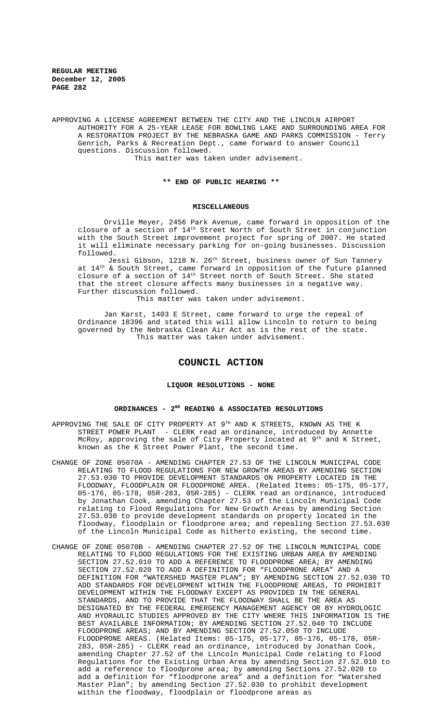APPROVING A LICENSE AGREEMENT BETWEEN THE CITY AND THE LINCOLN AIRPORT AUTHORITY FOR A 25-YEAR LEASE FOR BOWLING LAKE AND SURROUNDING AREA FOR A RESTORATION PROJECT BY THE NEBRASKA GAME AND PARKS COMMISSION - Terry Genrich, Parks & Recreation Dept., came forward to answer Council questions. Discussion followed. This matter was taken under advisement.

# **\*\* END OF PUBLIC HEARING \*\***

#### **MISCELLANEOUS**

Orville Meyer, 2456 Park Avenue, came forward in opposition of the closure of a section of 14th Street North of South Street in conjunction with the South Street improvement project for spring of 2007. He stated it will eliminate necessary parking for on-going businesses. Discussion followed.

Jessi Gibson, 1218 N. 26<sup>th</sup> Street, business owner of Sun Tannery at  $14^{\text{th}}$  & South Street, came forward in opposition of the future planned closure of a section of  $14^{\text{th}}$  Street north of South Street. She stated that the street closure affects many businesses in a negative way. Further discussion followed.

This matter was taken under advisement.

Jan Karst, 1403 E Street, came forward to urge the repeal of Ordinance 18396 and stated this will allow Lincoln to return to being governed by the Nebraska Clean Air Act as is the rest of the state. This matter was taken under advisement.

# **COUNCIL ACTION**

## **LIQUOR RESOLUTIONS - NONE**

# ORDINANCES - 2<sup>ND</sup> READING & ASSOCIATED RESOLUTIONS

- APPROVING THE SALE OF CITY PROPERTY AT 9TH AND K STREETS, KNOWN AS THE K STREET POWER PLANT - CLERK read an ordinance, introduced by Annette McRoy, approving the sale of City Property located at 9<sup>th</sup> and K Street, known as the K Street Power Plant, the second time.
- CHANGE OF ZONE 05070A AMENDING CHAPTER 27.53 OF THE LINCOLN MUNICIPAL CODE RELATING TO FLOOD REGULATIONS FOR NEW GROWTH AREAS BY AMENDING SECTION 27.53.030 TO PROVIDE DEVELOPMENT STANDARDS ON PROPERTY LOCATED IN THE FLOODWAY, FLOODPLAIN OR FLOODPRONE AREA. (Related Items: 05-175, 05-177, 05-176, 05-178, 05R-283, 05R-285) - CLERK read an ordinance, introduced by Jonathan Cook, amending Chapter 27.53 of the Lincoln Municipal Code relating to Flood Regulations for New Growth Areas by amending Section 27.53.030 to provide development standards on property located in the floodway, floodplain or floodprone area; and repealing Section 27.53.030 of the Lincoln Municipal Code as hitherto existing, the second time.
- CHANGE OF ZONE 05070B AMENDING CHAPTER 27.52 OF THE LINCOLN MUNICIPAL CODE RELATING TO FLOOD REGULATIONS FOR THE EXISTING URBAN AREA BY AMENDING SECTION 27.52.010 TO ADD A REFERENCE TO FLOODPRONE AREA; BY AMENDING SECTION 27.52.020 TO ADD A DEFINITION FOR "FLOODPRONE AREA" AND A DEFINITION FOR "WATERSHED MASTER PLAN"; BY AMENDING SECTION 27.52.030 TO ADD STANDARDS FOR DEVELOPMENT WITHIN THE FLOODPRONE AREAS, TO PROHIBIT DEVELOPMENT WITHIN THE FLOODWAY EXCEPT AS PROVIDED IN THE GENERAL STANDARDS, AND TO PROVIDE THAT THE FLOODWAY SHALL BE THE AREA AS DESIGNATED BY THE FEDERAL EMERGENCY MANAGEMENT AGENCY OR BY HYDROLOGIC AND HYDRAULIC STUDIES APPROVED BY THE CITY WHERE THIS INFORMATION IS THE BEST AVAILABLE INFORMATION; BY AMENDING SECTION 27.52.040 TO INCLUDE FLOODPRONE AREAS; AND BY AMENDING SECTION 27.52.050 TO INCLUDE FLOODPRONE AREAS. (Related Items: 05-175, 05-177, 05-176, 05-178, 05R-283, 05R-285) - CLERK read an ordinance, introduced by Jonathan Cook, amending Chapter 27.52 of the Lincoln Municipal Code relating to Flood Regulations for the Existing Urban Area by amending Section 27.52.010 to add a reference to floodprone area; by amending Sections 27.52.020 to add a definition for "floodprone area" and a definition for "Watershed Master Plan"; by amending Section 27.52.030 to prohibit development within the floodway, floodplain or floodprone areas as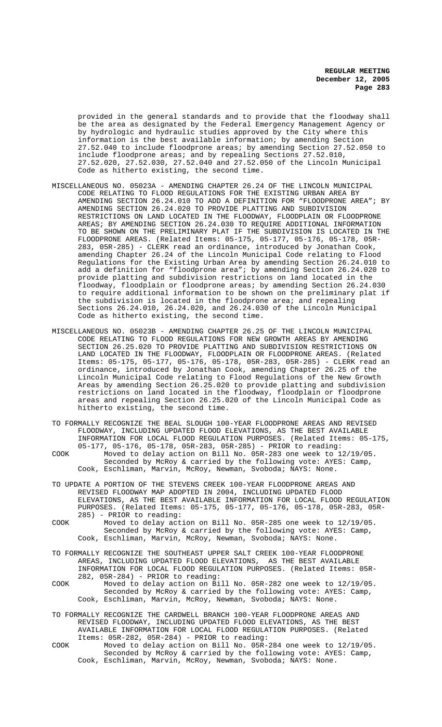provided in the general standards and to provide that the floodway shall be the area as designated by the Federal Emergency Management Agency or by hydrologic and hydraulic studies approved by the City where this information is the best available information; by amending Section 27.52.040 to include floodprone areas; by amending Section 27.52.050 to include floodprone areas; and by repealing Sections 27.52.010, 27.52.020, 27.52.030, 27.52.040 and 27.52.050 of the Lincoln Municipal Code as hitherto existing, the second time.

- MISCELLANEOUS NO. 05023A AMENDING CHAPTER 26.24 OF THE LINCOLN MUNICIPAL CODE RELATING TO FLOOD REGULATIONS FOR THE EXISTING URBAN AREA BY AMENDING SECTION 26.24.010 TO ADD A DEFINITION FOR "FLOODPRONE AREA"; BY AMENDING SECTION 26.24.020 TO PROVIDE PLATTING AND SUBDIVISION RESTRICTIONS ON LAND LOCATED IN THE FLOODWAY, FLOODPLAIN OR FLOODPRONE AREAS; BY AMENDING SECTION 26.24.030 TO REQUIRE ADDITIONAL INFORMATION TO BE SHOWN ON THE PRELIMINARY PLAT IF THE SUBDIVISION IS LOCATED IN THE FLOODPRONE AREAS. (Related Items: 05-175, 05-177, 05-176, 05-178, 05R-283, 05R-285) - CLERK read an ordinance, introduced by Jonathan Cook, amending Chapter 26.24 of the Lincoln Municipal Code relating to Flood Regulations for the Existing Urban Area by amending Section 26.24.010 to add a definition for "floodprone area"; by amending Section 26.24.020 to provide platting and subdivision restrictions on land located in the floodway, floodplain or floodprone areas; by amending Section 26.24.030 to require additional information to be shown on the preliminary plat if the subdivision is located in the floodprone area; and repealing Sections 26.24.010, 26.24.020, and 26.24.030 of the Lincoln Municipal Code as hitherto existing, the second time.
- MISCELLANEOUS NO. 05023B AMENDING CHAPTER 26.25 OF THE LINCOLN MUNICIPAL CODE RELATING TO FLOOD REGULATIONS FOR NEW GROWTH AREAS BY AMENDING SECTION 26.25.020 TO PROVIDE PLATTING AND SUBDIVISION RESTRICTIONS ON LAND LOCATED IN THE FLOODWAY, FLOODPLAIN OR FLOODPRONE AREAS. (Related Items: 05-175, 05-177, 05-176, 05-178, 05R-283, 05R-285) - CLERK read an ordinance, introduced by Jonathan Cook, amending Chapter 26.25 of the Lincoln Municipal Code relating to Flood Regulations of the New Growth Areas by amending Section 26.25.020 to provide platting and subdivision restrictions on land located in the floodway, floodplain or floodprone areas and repealing Section 26.25.020 of the Lincoln Municipal Code as hitherto existing, the second time.
- TO FORMALLY RECOGNIZE THE BEAL SLOUGH 100-YEAR FLOODPRONE AREAS AND REVISED FLOODWAY, INCLUDING UPDATED FLOOD ELEVATIONS, AS THE BEST AVAILABLE INFORMATION FOR LOCAL FLOOD REGULATION PURPOSES. (Related Items: 05-175, 05-177, 05-176, 05-178, 05R-283, 05R-285) - PRIOR to reading: COOK Moved to delay action on Bill No. 05R-283 one week to 12/19/05. Seconded by McRoy & carried by the following vote: AYES: Camp, Cook, Eschliman, Marvin, McRoy, Newman, Svoboda; NAYS: None.
- TO UPDATE A PORTION OF THE STEVENS CREEK 100-YEAR FLOODPRONE AREAS AND REVISED FLOODWAY MAP ADOPTED IN 2004, INCLUDING UPDATED FLOOD ELEVATIONS, AS THE BEST AVAILABLE INFORMATION FOR LOCAL FLOOD REGULATION PURPOSES. (Related Items: 05-175, 05-177, 05-176, 05-178, 05R-283, 05R-285) - PRIOR to reading:
- COOK Moved to delay action on Bill No. 05R-285 one week to 12/19/05. Seconded by McRoy & carried by the following vote: AYES: Camp, Cook, Eschliman, Marvin, McRoy, Newman, Svoboda; NAYS: None.
- TO FORMALLY RECOGNIZE THE SOUTHEAST UPPER SALT CREEK 100-YEAR FLOODPRONE AREAS, INCLUDING UPDATED FLOOD ELEVATIONS, AS THE BEST AVAILABLE INFORMATION FOR LOCAL FLOOD REGULATION PURPOSES. (Related Items: 05R-282, 05R-284) - PRIOR to reading:
- COOK Moved to delay action on Bill No. 05R-282 one week to 12/19/05. Seconded by McRoy & carried by the following vote: AYES: Camp, Cook, Eschliman, Marvin, McRoy, Newman, Svoboda; NAYS: None.
- TO FORMALLY RECOGNIZE THE CARDWELL BRANCH 100-YEAR FLOODPRONE AREAS AND REVISED FLOODWAY, INCLUDING UPDATED FLOOD ELEVATIONS, AS THE BEST AVAILABLE INFORMATION FOR LOCAL FLOOD REGULATION PURPOSES. (Related Items: 05R-282, 05R-284) - PRIOR to reading:
- COOK Moved to delay action on Bill No. 05R-284 one week to 12/19/05. Seconded by McRoy & carried by the following vote: AYES: Camp, Cook, Eschliman, Marvin, McRoy, Newman, Svoboda; NAYS: None.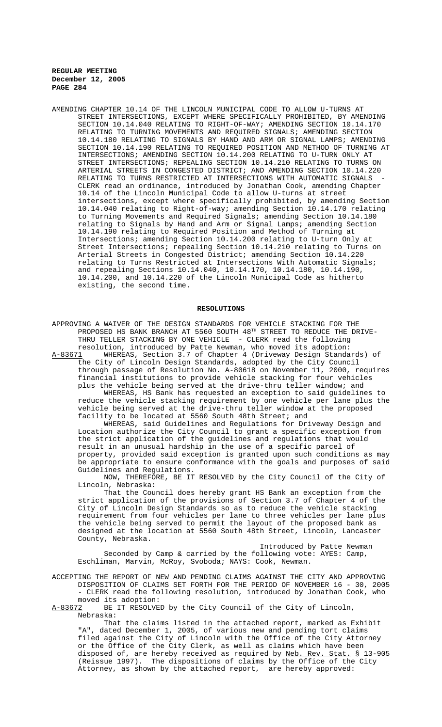AMENDING CHAPTER 10.14 OF THE LINCOLN MUNICIPAL CODE TO ALLOW U-TURNS AT STREET INTERSECTIONS, EXCEPT WHERE SPECIFICALLY PROHIBITED, BY AMENDING SECTION 10.14.040 RELATING TO RIGHT-OF-WAY; AMENDING SECTION 10.14.170 RELATING TO TURNING MOVEMENTS AND REQUIRED SIGNALS; AMENDING SECTION 10.14.180 RELATING TO SIGNALS BY HAND AND ARM OR SIGNAL LAMPS; AMENDING SECTION 10.14.190 RELATING TO REQUIRED POSITION AND METHOD OF TURNING AT INTERSECTIONS; AMENDING SECTION 10.14.200 RELATING TO U-TURN ONLY AT STREET INTERSECTIONS; REPEALING SECTION 10.14.210 RELATING TO TURNS ON ARTERIAL STREETS IN CONGESTED DISTRICT; AND AMENDING SECTION 10.14.220 RELATING TO TURNS RESTRICTED AT INTERSECTIONS WITH AUTOMATIC SIGNALS - CLERK read an ordinance, introduced by Jonathan Cook, amending Chapter 10.14 of the Lincoln Municipal Code to allow U-turns at street intersections, except where specifically prohibited, by amending Section 10.14.040 relating to Right-of-way; amending Section 10.14.170 relating to Turning Movements and Required Signals; amending Section 10.14.180 relating to Signals by Hand and Arm or Signal Lamps; amending Section 10.14.190 relating to Required Position and Method of Turning at Intersections; amending Section 10.14.200 relating to U-turn Only at Street Intersections; repealing Section 10.14.210 relating to Turns on Arterial Streets in Congested District; amending Section 10.14.220 relating to Turns Restricted at Intersections With Automatic Signals; and repealing Sections 10.14.040, 10.14.170, 10.14.180, 10.14.190, 10.14.200, and 10.14.220 of the Lincoln Municipal Code as hitherto existing, the second time.

#### **RESOLUTIONS**

APPROVING A WAIVER OF THE DESIGN STANDARDS FOR VEHICLE STACKING FOR THE PROPOSED HS BANK BRANCH AT 5560 SOUTH 48<sup>TH</sup> STREET TO REDUCE THE DRIVE-THRU TELLER STACKING BY ONE VEHICLE - CLERK read the following resolution, introduced by Patte Newman, who moved its adoption:

A-83671 WHEREAS, Section 3.7 of Chapter 4 (Driveway Design Standards) of the City of Lincoln Design Standards, adopted by the City Council through passage of Resolution No. A-80618 on November 11, 2000, requires financial institutions to provide vehicle stacking for four vehicles plus the vehicle being served at the drive-thru teller window; and WHEREAS, HS Bank has requested an exception to said guidelines to reduce the vehicle stacking requirement by one vehicle per lane plus the vehicle being served at the drive-thru teller window at the proposed

facility to be located at 5560 South 48th Street; and WHEREAS, said Guidelines and Regulations for Driveway Design and Location authorize the City Council to grant a specific exception from the strict application of the guidelines and regulations that would result in an unusual hardship in the use of a specific parcel of property, provided said exception is granted upon such conditions as may be appropriate to ensure conformance with the goals and purposes of said Guidelines and Regulations.

 NOW, THEREFORE, BE IT RESOLVED by the City Council of the City of Lincoln, Nebraska:

That the Council does hereby grant HS Bank an exception from the strict application of the provisions of Section 3.7 of Chapter 4 of the City of Lincoln Design Standards so as to reduce the vehicle stacking requirement from four vehicles per lane to three vehicles per lane plus the vehicle being served to permit the layout of the proposed bank as designed at the location at 5560 South 48th Street, Lincoln, Lancaster County, Nebraska.

Introduced by Patte Newman Seconded by Camp & carried by the following vote: AYES: Camp, Eschliman, Marvin, McRoy, Svoboda; NAYS: Cook, Newman.

ACCEPTING THE REPORT OF NEW AND PENDING CLAIMS AGAINST THE CITY AND APPROVING DISPOSITION OF CLAIMS SET FORTH FOR THE PERIOD OF NOVEMBER 16 - 30, 2005 - CLERK read the following resolution, introduced by Jonathan Cook, who moved its adoption:

A-83672 BE IT RESOLVED by the City Council of the City of Lincoln, Nebraska:

That the claims listed in the attached report, marked as Exhibit "A", dated December 1, 2005, of various new and pending tort claims filed against the City of Lincoln with the Office of the City Attorney or the Office of the City Clerk, as well as claims which have been disposed of, are hereby received as required by Neb. Rev. Stat. § 13-905 (Reissue 1997). The dispositions of claims by the Office of the City Attorney, as shown by the attached report, are hereby approved: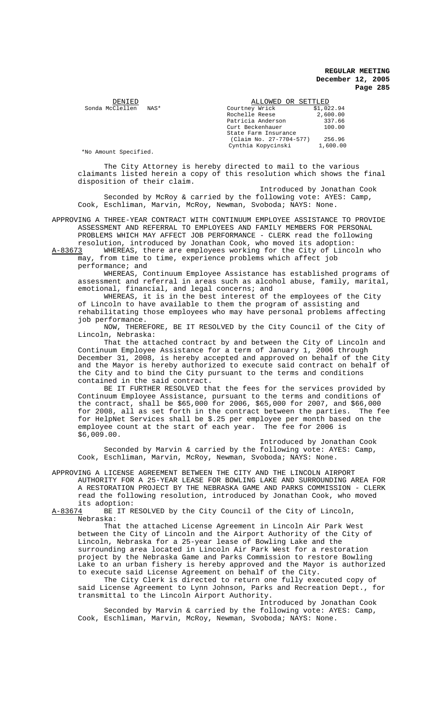| DENIED                   | ALLOWED OR SETTLED                |
|--------------------------|-----------------------------------|
| Sonda McClellen<br>NAS*  | \$1,022.94<br>Courtney Wrick      |
|                          | Rochelle Reese<br>2,600.00        |
|                          | Patricia Anderson<br>337.66       |
|                          | Curt Beckenhauer<br>100.00        |
|                          | State Farm Insurance              |
|                          | (Claim No. 27-7704-577)<br>256.96 |
|                          | Cynthia Kopycinski<br>1,600.00    |
| $+M - M + M + M + M + M$ |                                   |

\*No Amount Specified.

The City Attorney is hereby directed to mail to the various claimants listed herein a copy of this resolution which shows the final disposition of their claim.

Introduced by Jonathan Cook Seconded by McRoy & carried by the following vote: AYES: Camp, Cook, Eschliman, Marvin, McRoy, Newman, Svoboda; NAYS: None.

APPROVING A THREE-YEAR CONTRACT WITH CONTINUUM EMPLOYEE ASSISTANCE TO PROVIDE ASSESSMENT AND REFERRAL TO EMPLOYEES AND FAMILY MEMBERS FOR PERSONAL PROBLEMS WHICH MAY AFFECT JOB PERFORMANCE - CLERK read the following resolution, introduced by Jonathan Cook, who moved its adoption:

A-83673 WHEREAS, there are employees working for the City of Lincoln who may, from time to time, experience problems which affect job performance; and

WHEREAS, Continuum Employee Assistance has established programs of assessment and referral in areas such as alcohol abuse, family, marital, emotional, financial, and legal concerns; and

WHEREAS, it is in the best interest of the employees of the City of Lincoln to have available to them the program of assisting and rehabilitating those employees who may have personal problems affecting job performance.

NOW, THEREFORE, BE IT RESOLVED by the City Council of the City of Lincoln, Nebraska:

That the attached contract by and between the City of Lincoln and Continuum Employee Assistance for a term of January 1, 2006 through December 31, 2008, is hereby accepted and approved on behalf of the City and the Mayor is hereby authorized to execute said contract on behalf of the City and to bind the City pursuant to the terms and conditions contained in the said contract.

BE IT FURTHER RESOLVED that the fees for the services provided by Continuum Employee Assistance, pursuant to the terms and conditions of the contract, shall be \$65,000 for 2006, \$65,000 for 2007, and \$66,000 for 2008, all as set forth in the contract between the parties. The fee for HelpNet Services shall be \$.25 per employee per month based on the employee count at the start of each year. The fee for 2006 is employee count at the start of each year. \$6,009.00.

Introduced by Jonathan Cook Seconded by Marvin & carried by the following vote: AYES: Camp, Cook, Eschliman, Marvin, McRoy, Newman, Svoboda; NAYS: None.

APPROVING A LICENSE AGREEMENT BETWEEN THE CITY AND THE LINCOLN AIRPORT AUTHORITY FOR A 25-YEAR LEASE FOR BOWLING LAKE AND SURROUNDING AREA FOR A RESTORATION PROJECT BY THE NEBRASKA GAME AND PARKS COMMISSION - CLERK read the following resolution, introduced by Jonathan Cook, who moved its adoption:<br>A-83674 BE IT R

BE IT RESOLVED by the City Council of the City of Lincoln, Nebraska:

That the attached License Agreement in Lincoln Air Park West between the City of Lincoln and the Airport Authority of the City of Lincoln, Nebraska for a 25-year lease of Bowling Lake and the surrounding area located in Lincoln Air Park West for a restoration project by the Nebraska Game and Parks Commission to restore Bowling Lake to an urban fishery is hereby approved and the Mayor is authorized to execute said License Agreement on behalf of the City.

The City Clerk is directed to return one fully executed copy of said License Agreement to Lynn Johnson, Parks and Recreation Dept., for transmittal to the Lincoln Airport Authority.

Introduced by Jonathan Cook Seconded by Marvin & carried by the following vote: AYES: Camp, Cook, Eschliman, Marvin, McRoy, Newman, Svoboda; NAYS: None.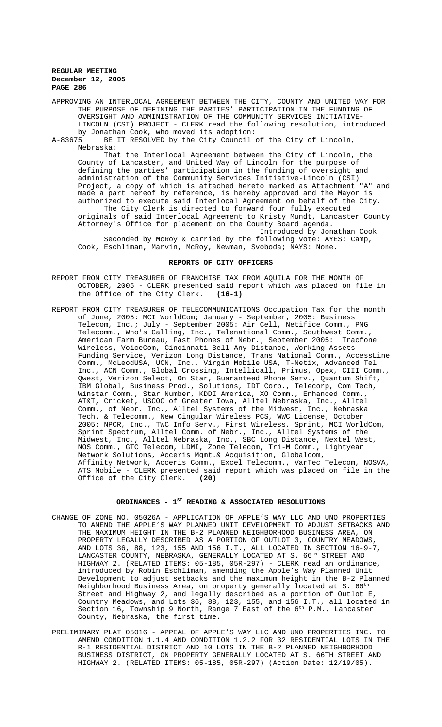APPROVING AN INTERLOCAL AGREEMENT BETWEEN THE CITY, COUNTY AND UNITED WAY FOR THE PURPOSE OF DEFINING THE PARTIES' PARTICIPATION IN THE FUNDING OF OVERSIGHT AND ADMINISTRATION OF THE COMMUNITY SERVICES INITIATIVE-LINCOLN (CSI) PROJECT - CLERK read the following resolution, introduced

by Jonathan Cook, who moved its adoption:<br>A-83675 BE IT RESOLVED by the City Council BE IT RESOLVED by the City Council of the City of Lincoln, Nebraska:

That the Interlocal Agreement between the City of Lincoln, the County of Lancaster, and United Way of Lincoln for the purpose of defining the parties' participation in the funding of oversight and administration of the Community Services Initiative-Lincoln (CSI) Project, a copy of which is attached hereto marked as Attachment "A" and made a part hereof by reference, is hereby approved and the Mayor is authorized to execute said Interlocal Agreement on behalf of the City. The City Clerk is directed to forward four fully executed originals of said Interlocal Agreement to Kristy Mundt, Lancaster County

Attorney's Office for placement on the County Board agenda. Introduced by Jonathan Cook Seconded by McRoy & carried by the following vote: AYES: Camp,

Cook, Eschliman, Marvin, McRoy, Newman, Svoboda; NAYS: None.

## **REPORTS OF CITY OFFICERS**

REPORT FROM CITY TREASURER OF FRANCHISE TAX FROM AQUILA FOR THE MONTH OF OCTOBER, 2005 - CLERK presented said report which was placed on file in the Office of the City Clerk. (16-1) the Office of the City Clerk. **(16-1)**

REPORT FROM CITY TREASURER OF TELECOMMUNICATIONS Occupation Tax for the month of June, 2005: MCI WorldCom; January - September, 2005: Business Telecom, Inc.; July - September 2005: Air Cell, Netifice Comm., PNG Telecomm., Who's Calling, Inc., Telenational Comm., Southwest Comm., American Farm Bureau, Fast Phones of Nebr.; September 2005: Tracfone Wireless, VoiceCom, Cincinnati Bell Any Distance, Working Assets Funding Service, Verizon Long Distance, Trans National Comm., AccessLine Comm., McLeodUSA, UCN, Inc., Virgin Mobile USA, T-Netix, Advanced Tel Inc., ACN Comm., Global Crossing, Intellicall, Primus, Opex, CIII Comm., Qwest, Verizon Select, On Star, Guaranteed Phone Serv., Quantum Shift, IBM Global, Business Prod., Solutions, IDT Corp., Telecorp, Com Tech, Winstar Comm., Star Number, KDDI America, XO Comm., Enhanced Comm. AT&T, Cricket, USCOC of Greater Iowa, Alltel Nebraska, Inc., Alltel Comm., of Nebr. Inc., Alltel Systems of the Midwest, Inc., Nebraska Tech. & Telecomm., New Cingular Wireless PCS, WWC License; October 2005: NPCR, Inc., TWC Info Serv., First Wireless, Sprint, MCI WorldCom, Sprint Spectrum, Alltel Comm. of Nebr., Inc., Alltel Systems of the Midwest, Inc., Alltel Nebraska, Inc., SBC Long Distance, Nextel West, NOS Comm., GTC Telecom, LDMI, Zone Telecom, Tri-M Comm., Lightyear Network Solutions, Acceris Mgmt.& Acquisition, Globalcom, Affinity Network, Acceris Comm., Excel Telecomm., VarTec Telecom, NOSVA, ATS Mobile - CLERK presented said report which was placed on file in the Office of the City Clerk. **(20)**

# ORDINANCES - 1<sup>st</sup> READING & ASSOCIATED RESOLUTIONS

- CHANGE OF ZONE NO. 05026A APPLICATION OF APPLE'S WAY LLC AND UNO PROPERTIES TO AMEND THE APPLE'S WAY PLANNED UNIT DEVELOPMENT TO ADJUST SETBACKS AND THE MAXIMUM HEIGHT IN THE B-2 PLANNED NEIGHBORHOOD BUSINESS AREA, ON PROPERTY LEGALLY DESCRIBED AS A PORTION OF OUTLOT 3, COUNTRY MEADOWS, AND LOTS 36, 88, 123, 155 AND 156 I.T., ALL LOCATED IN SECTION 16-9-7, LANCASTER COUNTY, NEBRASKA, GENERALLY LOCATED AT S. 66TH STREET AND HIGHWAY 2. (RELATED ITEMS: 05-185, 05R-297) - CLERK read an ordinance, introduced by Robin Eschliman, amending the Apple's Way Planned Unit Development to adjust setbacks and the maximum height in the B-2 Planned Neighborhood Business Area, on property generally located at S. 66<sup>th</sup> Street and Highway 2, and legally described as a portion of Outlot E, Country Meadows, and Lots 36, 88, 123, 155, and 156 I.T., all located in Section 16, Township 9 North, Range 7 East of the  $6^{\text{th}}$  P.M., Lancaster County, Nebraska, the first time.
- PRELIMINARY PLAT 05016 APPEAL OF APPLE'S WAY LLC AND UNO PROPERTIES INC. TO AMEND CONDITION 1.1.4 AND CONDITION 1.2.2 FOR 32 RESIDENTIAL LOTS IN THE R-1 RESIDENTIAL DISTRICT AND 10 LOTS IN THE B-2 PLANNED NEIGHBORHOOD BUSINESS DISTRICT, ON PROPERTY GENERALLY LOCATED AT S. 66TH STREET AND HIGHWAY 2. (RELATED ITEMS: 05-185, 05R-297) (Action Date: 12/19/05).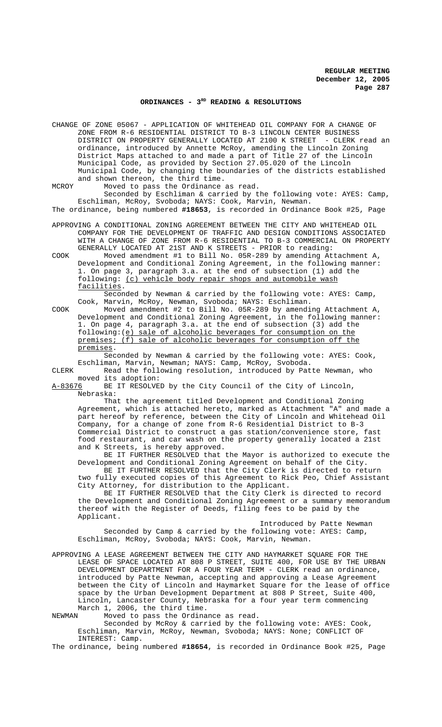### ORDINANCES - 3<sup>RD</sup> READING & RESOLUTIONS

CHANGE OF ZONE 05067 - APPLICATION OF WHITEHEAD OIL COMPANY FOR A CHANGE OF ZONE FROM R-6 RESIDENTIAL DISTRICT TO B-3 LINCOLN CENTER BUSINESS DISTRICT ON PROPERTY GENERALLY LOCATED AT 2100 K STREET - CLERK read an ordinance, introduced by Annette McRoy, amending the Lincoln Zoning District Maps attached to and made a part of Title 27 of the Lincoln Municipal Code, as provided by Section 27.05.020 of the Lincoln Municipal Code, by changing the boundaries of the districts established and shown thereon, the third time.

Seconded by Eschliman & carried by the following vote: AYES: Camp, Eschliman, McRoy, Svoboda; NAYS: Cook, Marvin, Newman. The ordinance, being numbered **#18653**, is recorded in Ordinance Book #25, Page

APPROVING A CONDITIONAL ZONING AGREEMENT BETWEEN THE CITY AND WHITEHEAD OIL COMPANY FOR THE DEVELOPMENT OF TRAFFIC AND DESIGN CONDITIONS ASSOCIATED WITH A CHANGE OF ZONE FROM R-6 RESIDENTIAL TO B-3 COMMERCIAL ON PROPERTY GENERALLY LOCATED AT 21ST AND K STREETS - PRIOR to reading:

COOK Moved amendment #1 to Bill No. 05R-289 by amending Attachment A, Development and Conditional Zoning Agreement, in the following manner: 1. On page 3, paragraph 3.a. at the end of subsection (1) add the following: (c) vehicle body repair shops and automobile wash facilities.

Seconded by Newman & carried by the following vote: AYES: Camp, Cook, Marvin, McRoy, Newman, Svoboda; NAYS: Eschliman.

COOK Moved amendment #2 to Bill No. 05R-289 by amending Attachment A, Development and Conditional Zoning Agreement, in the following manner: 1. On page 4, paragraph 3.a. at the end of subsection (3) add the following:(e) sale of alcoholic beverages for consumption on the premises; (f) sale of alcoholic beverages for consumption off the premises.

Seconded by Newman & carried by the following vote: AYES: Cook, Eschliman, Marvin, Newman; NAYS: Camp, McRoy, Svoboda.

CLERK Read the following resolution, introduced by Patte Newman, who moved its adoption:<br><u>A-83676</u> BE IT RESOLVE

BE IT RESOLVED by the City Council of the City of Lincoln, Nebraska:

That the agreement titled Development and Conditional Zoning Agreement, which is attached hereto, marked as Attachment "A" and made a part hereof by reference, between the City of Lincoln and Whitehead Oil Company, for a change of zone from R-6 Residential District to B-3 Commercial District to construct a gas station/convenience store, fast food restaurant, and car wash on the property generally located a 21st and K Streets, is hereby approved.

BE IT FURTHER RESOLVED that the Mayor is authorized to execute the Development and Conditional Zoning Agreement on behalf of the City.

BE IT FURTHER RESOLVED that the City Clerk is directed to return two fully executed copies of this Agreement to Rick Peo, Chief Assistant City Attorney, for distribution to the Applicant.

BE IT FURTHER RESOLVED that the City Clerk is directed to record the Development and Conditional Zoning Agreement or a summary memorandum thereof with the Register of Deeds, filing fees to be paid by the Applicant.

Introduced by Patte Newman Seconded by Camp & carried by the following vote: AYES: Camp, Eschliman, McRoy, Svoboda; NAYS: Cook, Marvin, Newman.

APPROVING A LEASE AGREEMENT BETWEEN THE CITY AND HAYMARKET SQUARE FOR THE LEASE OF SPACE LOCATED AT 808 P STREET, SUITE 400, FOR USE BY THE URBAN DEVELOPMENT DEPARTMENT FOR A FOUR YEAR TERM - CLERK read an ordinance, introduced by Patte Newman, accepting and approving a Lease Agreement between the City of Lincoln and Haymarket Square for the lease of office space by the Urban Development Department at 808 P Street, Suite 400, Lincoln, Lancaster County, Nebraska for a four year term commencing March 1, 2006, the third time.<br>NEWMAN Moved to pass the Ordinal

NEWMAN Moved to pass the Ordinance as read.

Seconded by McRoy & carried by the following vote: AYES: Cook, Eschliman, Marvin, McRoy, Newman, Svoboda; NAYS: None; CONFLICT OF INTEREST: Camp.

The ordinance, being numbered **#18654**, is recorded in Ordinance Book #25, Page

MCROY Moved to pass the Ordinance as read.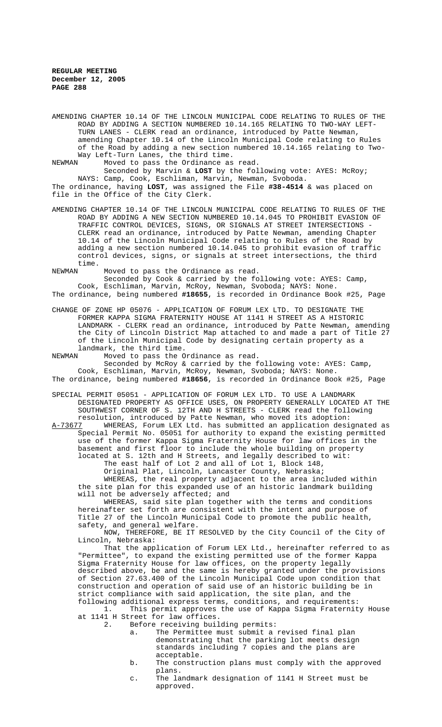AMENDING CHAPTER 10.14 OF THE LINCOLN MUNICIPAL CODE RELATING TO RULES OF THE ROAD BY ADDING A SECTION NUMBERED 10.14.165 RELATING TO TWO-WAY LEFT-TURN LANES - CLERK read an ordinance, introduced by Patte Newman, amending Chapter 10.14 of the Lincoln Municipal Code relating to Rules of the Road by adding a new section numbered 10.14.165 relating to Two-Way Left-Turn Lanes, the third time.

NEWMAN Moved to pass the Ordinance as read.

Seconded by Marvin & **LOST** by the following vote: AYES: McRoy; NAYS: Camp, Cook, Eschliman, Marvin, Newman, Svoboda. The ordinance, having **LOST**, was assigned the File **#38-4514** & was placed on file in the Office of the City Clerk.

AMENDING CHAPTER 10.14 OF THE LINCOLN MUNICIPAL CODE RELATING TO RULES OF THE ROAD BY ADDING A NEW SECTION NUMBERED 10.14.045 TO PROHIBIT EVASION OF TRAFFIC CONTROL DEVICES, SIGNS, OR SIGNALS AT STREET INTERSECTIONS - CLERK read an ordinance, introduced by Patte Newman, amending Chapter 10.14 of the Lincoln Municipal Code relating to Rules of the Road by adding a new section numbered 10.14.045 to prohibit evasion of traffic control devices, signs, or signals at street intersections, the third time.

NEWMAN Moved to pass the Ordinance as read.

Seconded by Cook & carried by the following vote: AYES: Camp, Cook, Eschliman, Marvin, McRoy, Newman, Svoboda; NAYS: None. The ordinance, being numbered **#18655**, is recorded in Ordinance Book #25, Page

CHANGE OF ZONE HP 05076 - APPLICATION OF FORUM LEX LTD. TO DESIGNATE THE FORMER KAPPA SIGMA FRATERNITY HOUSE AT 1141 H STREET AS A HISTORIC LANDMARK - CLERK read an ordinance, introduced by Patte Newman, amending the City of Lincoln District Map attached to and made a part of Title 27 of the Lincoln Municipal Code by designating certain property as a landmark, the third time.<br>NEWMAN Moved to pass the C

Moved to pass the Ordinance as read. Seconded by McRoy & carried by the following vote: AYES: Camp, Cook, Eschliman, Marvin, McRoy, Newman, Svoboda; NAYS: None. The ordinance, being numbered **#18656**, is recorded in Ordinance Book #25, Page

SPECIAL PERMIT 05051 - APPLICATION OF FORUM LEX LTD. TO USE A LANDMARK DESIGNATED PROPERTY AS OFFICE USES, ON PROPERTY GENERALLY LOCATED AT THE SOUTHWEST CORNER OF S. 12TH AND H STREETS - CLERK read the following resolution, introduced by Patte Newman, who moved its adoption:<br>A-73677 WHEREAS, Forum LEX Ltd. has submitted an application desi

WHEREAS, Forum LEX Ltd. has submitted an application designated as Special Permit No. 05051 for authority to expand the existing permitted use of the former Kappa Sigma Fraternity House for law offices in the basement and first floor to include the whole building on property located at S. 12th and H Streets, and legally described to wit:

The east half of Lot 2 and all of Lot 1, Block 148,

Original Plat, Lincoln, Lancaster County, Nebraska; WHEREAS, the real property adjacent to the area included within the site plan for this expanded use of an historic landmark building will not be adversely affected; and

WHEREAS, said site plan together with the terms and conditions hereinafter set forth are consistent with the intent and purpose of Title 27 of the Lincoln Municipal Code to promote the public health, safety, and general welfare.

NOW, THEREFORE, BE IT RESOLVED by the City Council of the City of Lincoln, Nebraska:

That the application of Forum LEX Ltd., hereinafter referred to as "Permittee", to expand the existing permitted use of the former Kappa Sigma Fraternity House for law offices, on the property legally described above, be and the same is hereby granted under the provisions of Section 27.63.400 of the Lincoln Municipal Code upon condition that construction and operation of said use of an historic building be in strict compliance with said application, the site plan, and the following additional express terms, conditions, and requirements:

1. This permit approves the use of Kappa Sigma Fraternity House at 1141 H Street for law offices.

- 2. Before receiving building permits:
	- a. The Permittee must submit a revised final plan demonstrating that the parking lot meets design standards including 7 copies and the plans are acceptable.
	- b. The construction plans must comply with the approved plans.
	- c. The landmark designation of 1141 H Street must be approved.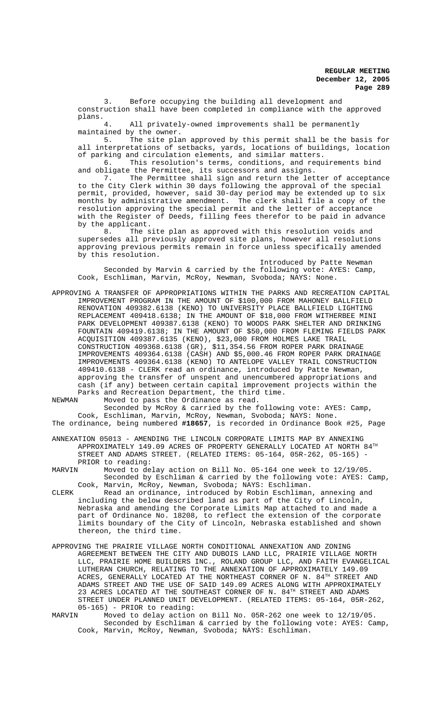3. Before occupying the building all development and construction shall have been completed in compliance with the approved plans.

All privately-owned improvements shall be permanently maintained by the owner.

5. The site plan approved by this permit shall be the basis for all interpretations of setbacks, yards, locations of buildings, location of parking and circulation elements, and similar matters.

6. This resolution's terms, conditions, and requirements bind and obligate the Permittee, its successors and assigns.

7. The Permittee shall sign and return the letter of acceptance to the City Clerk within 30 days following the approval of the special permit, provided, however, said 30-day period may be extended up to six months by administrative amendment. The clerk shall file a copy of the resolution approving the special permit and the letter of acceptance with the Register of Deeds, filling fees therefor to be paid in advance by the applicant.<br>8. The s

The site plan as approved with this resolution voids and supersedes all previously approved site plans, however all resolutions approving previous permits remain in force unless specifically amended by this resolution.

Introduced by Patte Newman Seconded by Marvin & carried by the following vote: AYES: Camp, Cook, Eschliman, Marvin, McRoy, Newman, Svoboda; NAYS: None.

APPROVING A TRANSFER OF APPROPRIATIONS WITHIN THE PARKS AND RECREATION CAPITAL IMPROVEMENT PROGRAM IN THE AMOUNT OF \$100,000 FROM MAHONEY BALLFIELD RENOVATION 409382.6138 (KENO) TO UNIVERSITY PLACE BALLFIELD LIGHTING REPLACEMENT 409418.6138; IN THE AMOUNT OF \$18,000 FROM WITHERBEE MINI PARK DEVELOPMENT 409387.6138 (KENO) TO WOODS PARK SHELTER AND DRINKING FOUNTAIN 409419.6138; IN THE AMOUNT OF \$50,000 FROM FLEMING FIELDS PARK ACQUISITION 409387.6135 (KENO), \$23,000 FROM HOLMES LAKE TRAIL CONSTRUCTION 409368.6138 (GR), \$11,354.56 FROM ROPER PARK DRAINAGE IMPROVEMENTS 409364.6138 (CASH) AND \$5,000.46 FROM ROPER PARK DRAINAGE IMPROVEMENTS 409364.6138 (KENO) TO ANTELOPE VALLEY TRAIL CONSTRUCTION 409410.6138 - CLERK read an ordinance, introduced by Patte Newman, approving the transfer of unspent and unencumbered appropriations and cash (if any) between certain capital improvement projects within the Parks and Recreation Department, the third time.<br>NEWMAN Moved to pass the Ordinance as read

Moved to pass the Ordinance as read.

Seconded by McRoy & carried by the following vote: AYES: Camp, Cook, Eschliman, Marvin, McRoy, Newman, Svoboda; NAYS: None. The ordinance, being numbered **#18657**, is recorded in Ordinance Book #25, Page

ANNEXATION 05013 - AMENDING THE LINCOLN CORPORATE LIMITS MAP BY ANNEXING APPROXIMATELY 149.09 ACRES OF PROPERTY GENERALLY LOCATED AT NORTH  $84^{TH}$ STREET AND ADAMS STREET. (RELATED ITEMS: 05-164, 05R-262, 05-165) PRIOR to reading:<br>MARVIN Moved to de

Moved to delay action on Bill No. 05-164 one week to 12/19/05. Seconded by Eschliman & carried by the following vote: AYES: Camp, Cook, Marvin, McRoy, Newman, Svoboda; NAYS: Eschliman.

- CLERK Read an ordinance, introduced by Robin Eschliman, annexing and including the below described land as part of the City of Lincoln, Nebraska and amending the Corporate Limits Map attached to and made a part of Ordinance No. 18208, to reflect the extension of the corporate limits boundary of the City of Lincoln, Nebraska established and shown thereon, the third time.
- APPROVING THE PRAIRIE VILLAGE NORTH CONDITIONAL ANNEXATION AND ZONING AGREEMENT BETWEEN THE CITY AND DUBOIS LAND LLC, PRAIRIE VILLAGE NORTH LLC, PRAIRIE HOME BUILDERS INC., ROLAND GROUP LLC, AND FAITH EVANGELICAL LUTHERAN CHURCH, RELATING TO THE ANNEXATION OF APPROXIMATELY 149.09 ACRES, GENERALLY LOCATED AT THE NORTHEAST CORNER OF N.  $84^{\text{TH}}$  STREET AND ADAMS STREET AND THE USE OF SAID 149.09 ACRES ALONG WITH APPROXIMATELY 23 ACRES LOCATED AT THE SOUTHEAST CORNER OF N.  $84^{TH}$  STREET AND ADAMS STREET UNDER PLANNED UNIT DEVELOPMENT. (RELATED ITEMS: 05-164, 05R-262, 05-165) - PRIOR to reading:<br>MARVIN Moved to delay action

Moved to delay action on Bill No. 05R-262 one week to 12/19/05. Seconded by Eschliman & carried by the following vote: AYES: Camp, Cook, Marvin, McRoy, Newman, Svoboda; NAYS: Eschliman.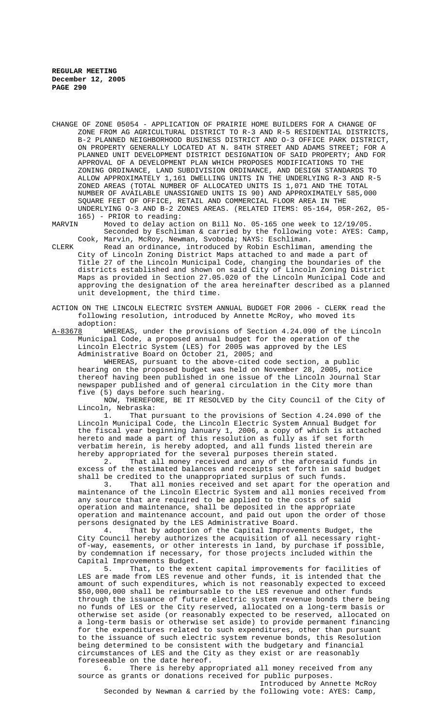CHANGE OF ZONE 05054 - APPLICATION OF PRAIRIE HOME BUILDERS FOR A CHANGE OF ZONE FROM AG AGRICULTURAL DISTRICT TO R-3 AND R-5 RESIDENTIAL DISTRICTS, B-2 PLANNED NEIGHBORHOOD BUSINESS DISTRICT AND O-3 OFFICE PARK DISTRICT, ON PROPERTY GENERALLY LOCATED AT N. 84TH STREET AND ADAMS STREET; FOR A PLANNED UNIT DEVELOPMENT DISTRICT DESIGNATION OF SAID PROPERTY; AND FOR APPROVAL OF A DEVELOPMENT PLAN WHICH PROPOSES MODIFICATIONS TO THE ZONING ORDINANCE, LAND SUBDIVISION ORDINANCE, AND DESIGN STANDARDS TO ALLOW APPROXIMATELY 1,161 DWELLING UNITS IN THE UNDERLYING R-3 AND R-5 ZONED AREAS (TOTAL NUMBER OF ALLOCATED UNITS IS 1,071 AND THE TOTAL NUMBER OF AVAILABLE UNASSIGNED UNITS IS 90) AND APPROXIMATELY 585,000 SQUARE FEET OF OFFICE, RETAIL AND COMMERCIAL FLOOR AREA IN THE UNDERLYING O-3 AND B-2 ZONES AREAS. (RELATED ITEMS: 05-164, 05R-262, 05- 165) - PRIOR to reading:

MARVIN Moved to delay action on Bill No. 05-165 one week to 12/19/05. Seconded by Eschliman & carried by the following vote: AYES: Camp, Cook, Marvin, McRoy, Newman, Svoboda; NAYS: Eschliman.

- CLERK Read an ordinance, introduced by Robin Eschliman, amending the City of Lincoln Zoning District Maps attached to and made a part of Title 27 of the Lincoln Municipal Code, changing the boundaries of the districts established and shown on said City of Lincoln Zoning District Maps as provided in Section 27.05.020 of the Lincoln Municipal Code and approving the designation of the area hereinafter described as a planned unit development, the third time.
- ACTION ON THE LINCOLN ELECTRIC SYSTEM ANNUAL BUDGET FOR 2006 CLERK read the following resolution, introduced by Annette McRoy, who moved its adoption:

A-83678 WHEREAS, under the provisions of Section 4.24.090 of the Lincoln Municipal Code, a proposed annual budget for the operation of the Lincoln Electric System (LES) for 2005 was approved by the LES Administrative Board on October 21, 2005; and

WHEREAS, pursuant to the above-cited code section, a public hearing on the proposed budget was held on November 28, 2005, notice thereof having been published in one issue of the Lincoln Journal Star newspaper published and of general circulation in the City more than five (5) days before such hearing.

NOW, THEREFORE, BE IT RESOLVED by the City Council of the City of Lincoln, Nebraska:

1. That pursuant to the provisions of Section 4.24.090 of the Lincoln Municipal Code, the Lincoln Electric System Annual Budget for the fiscal year beginning January 1, 2006, a copy of which is attached hereto and made a part of this resolution as fully as if set forth verbatim herein, is hereby adopted, and all funds listed therein are hereby appropriated for the several purposes therein stated.

2. That all money received and any of the aforesaid funds in excess of the estimated balances and receipts set forth in said budget shall be credited to the unappropriated surplus of such funds.<br>3. That all monies received and set apart for the ope

That all monies received and set apart for the operation and maintenance of the Lincoln Electric System and all monies received from any source that are required to be applied to the costs of said operation and maintenance, shall be deposited in the appropriate operation and maintenance account, and paid out upon the order of those persons designated by the LES Administrative Board.

That by adoption of the Capital Improvements Budget, the City Council hereby authorizes the acquisition of all necessary rightof-way, easements, or other interests in land, by purchase if possible, by condemnation if necessary, for those projects included within the Capital Improvements Budget.<br>5. That, to the ext

That, to the extent capital improvements for facilities of LES are made from LES revenue and other funds, it is intended that the amount of such expenditures, which is not reasonably expected to exceed \$50,000,000 shall be reimbursable to the LES revenue and other funds through the issuance of future electric system revenue bonds there being no funds of LES or the City reserved, allocated on a long-term basis or otherwise set aside (or reasonably expected to be reserved, allocated on a long-term basis or otherwise set aside) to provide permanent financing for the expenditures related to such expenditures, other than pursuant to the issuance of such electric system revenue bonds, this Resolution being determined to be consistent with the budgetary and financial circumstances of LES and the City as they exist or are reasonably foreseeable on the date hereof.<br>6. There is hereby app

There is hereby appropriated all money received from any source as grants or donations received for public purposes. Introduced by Annette McRoy

Seconded by Newman & carried by the following vote: AYES: Camp,